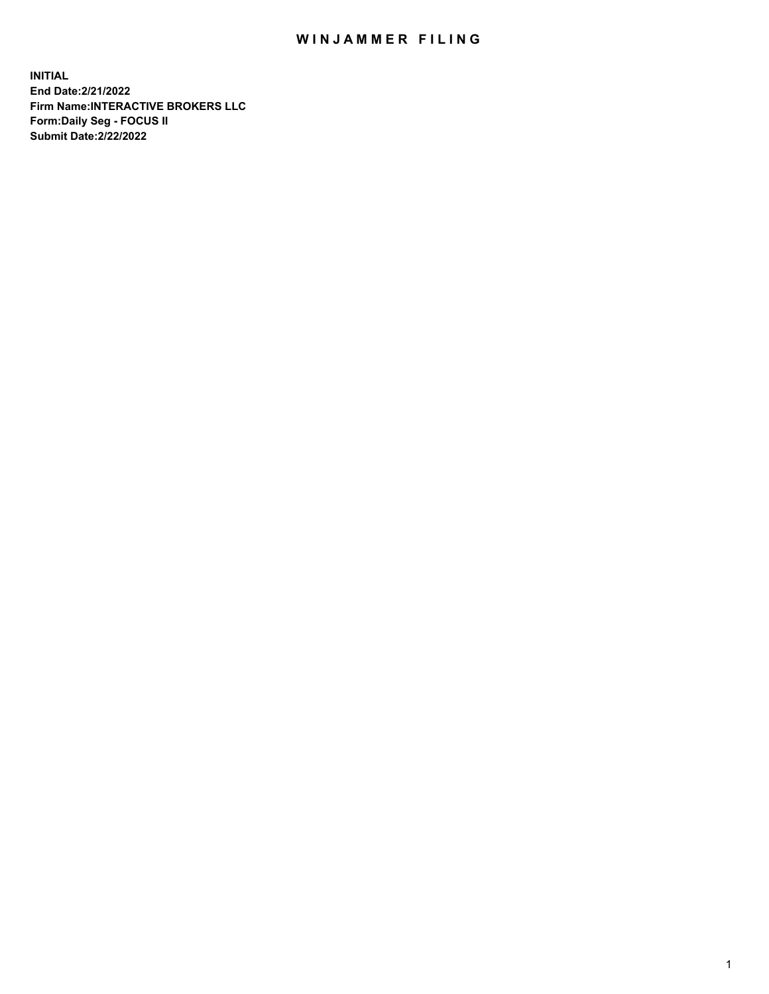## WIN JAMMER FILING

**INITIAL End Date:2/21/2022 Firm Name:INTERACTIVE BROKERS LLC Form:Daily Seg - FOCUS II Submit Date:2/22/2022**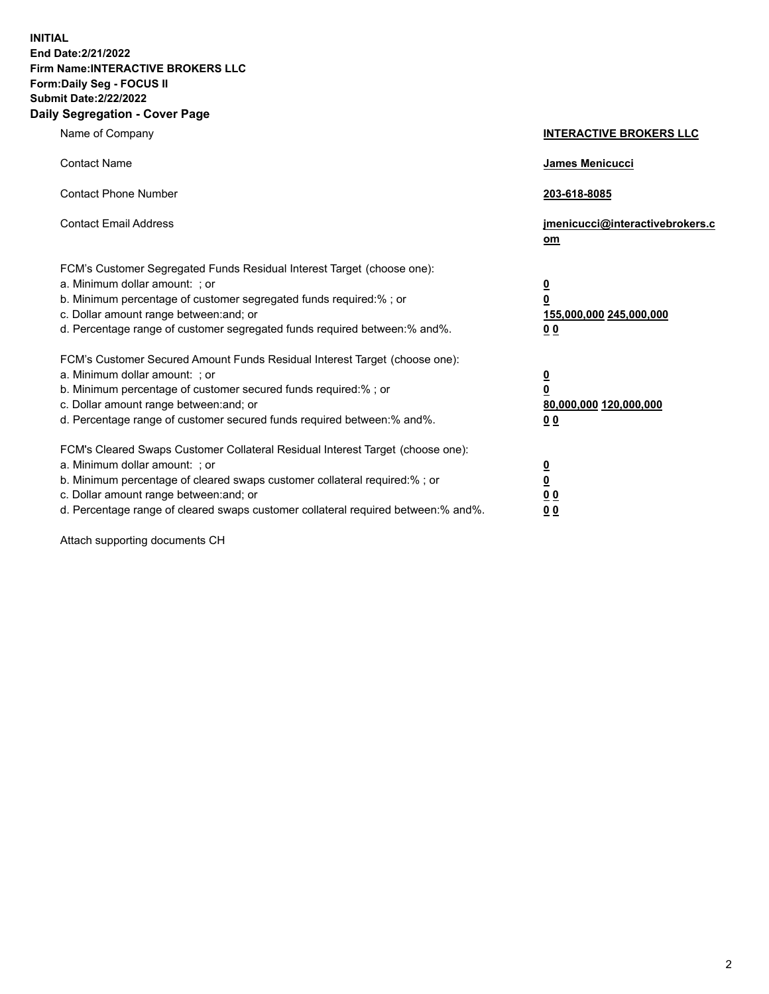**INITIAL End Date:2/21/2022 Firm Name:INTERACTIVE BROKERS LLC Form:Daily Seg - FOCUS II Submit Date:2/22/2022 Daily Segregation - Cover Page**

| Name of Company                                                                                                                                                                                                                                                                                                               | <b>INTERACTIVE BROKERS LLC</b>                                                                  |  |
|-------------------------------------------------------------------------------------------------------------------------------------------------------------------------------------------------------------------------------------------------------------------------------------------------------------------------------|-------------------------------------------------------------------------------------------------|--|
| <b>Contact Name</b>                                                                                                                                                                                                                                                                                                           | James Menicucci                                                                                 |  |
| <b>Contact Phone Number</b>                                                                                                                                                                                                                                                                                                   | 203-618-8085                                                                                    |  |
| <b>Contact Email Address</b>                                                                                                                                                                                                                                                                                                  | jmenicucci@interactivebrokers.c<br><u>om</u>                                                    |  |
| FCM's Customer Segregated Funds Residual Interest Target (choose one):<br>a. Minimum dollar amount: ; or<br>b. Minimum percentage of customer segregated funds required:% ; or<br>c. Dollar amount range between: and; or<br>d. Percentage range of customer segregated funds required between:% and%.                        | $\overline{\mathbf{0}}$<br>$\overline{\mathbf{0}}$<br>155,000,000 245,000,000<br>0 <sub>0</sub> |  |
| FCM's Customer Secured Amount Funds Residual Interest Target (choose one):<br>a. Minimum dollar amount: ; or<br>b. Minimum percentage of customer secured funds required:%; or<br>c. Dollar amount range between: and; or<br>d. Percentage range of customer secured funds required between:% and%.                           | $\overline{\mathbf{0}}$<br>$\overline{\mathbf{0}}$<br>80,000,000 120,000,000<br>0 <sub>0</sub>  |  |
| FCM's Cleared Swaps Customer Collateral Residual Interest Target (choose one):<br>a. Minimum dollar amount: ; or<br>b. Minimum percentage of cleared swaps customer collateral required:%; or<br>c. Dollar amount range between: and; or<br>d. Percentage range of cleared swaps customer collateral required between:% and%. | $\overline{\mathbf{0}}$<br>$\overline{\mathbf{0}}$<br>0 <sub>0</sub><br>0 <sub>0</sub>          |  |

Attach supporting documents CH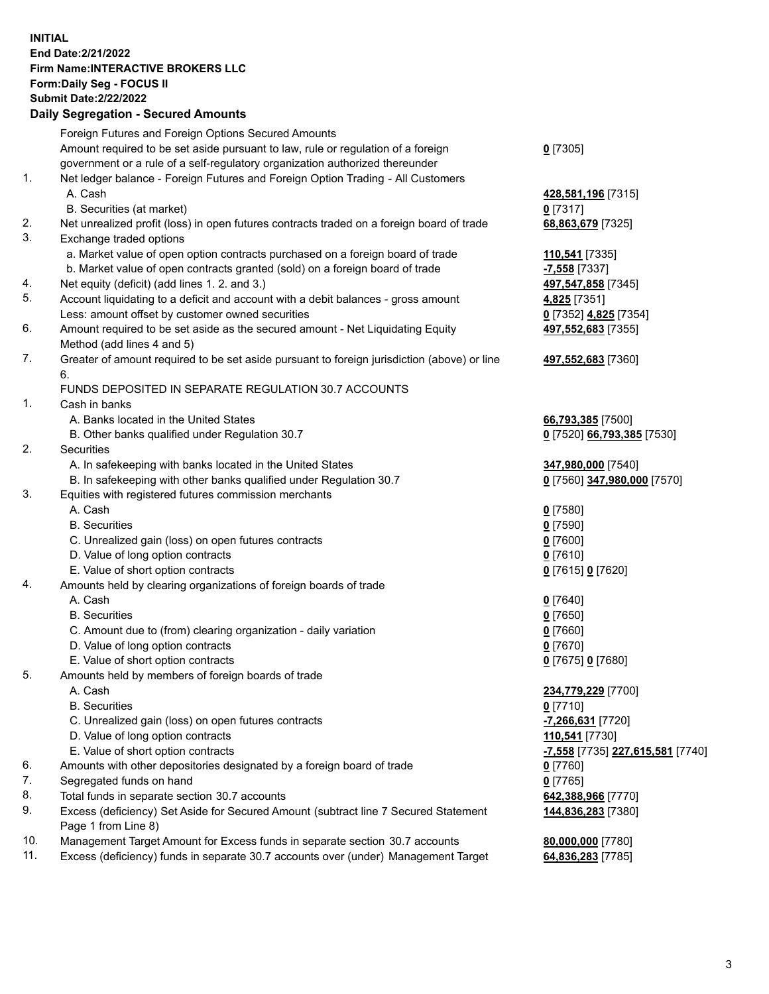**INITIAL End Date:2/21/2022 Firm Name:INTERACTIVE BROKERS LLC Form:Daily Seg - FOCUS II Submit Date:2/22/2022 Daily Segregation - Secured Amounts**

## Foreign Futures and Foreign Options Secured Amounts Amount required to be set aside pursuant to law, rule or regulation of a foreign government or a rule of a self-regulatory organization authorized thereunder **0** [7305] 1. Net ledger balance - Foreign Futures and Foreign Option Trading - All Customers A. Cash **428,581,196** [7315] B. Securities (at market) **0** [7317] 2. Net unrealized profit (loss) in open futures contracts traded on a foreign board of trade **68,863,679** [7325] 3. Exchange traded options a. Market value of open option contracts purchased on a foreign board of trade **110,541** [7335] b. Market value of open contracts granted (sold) on a foreign board of trade **-7,558** [7337] 4. Net equity (deficit) (add lines 1. 2. and 3.) **497,547,858** [7345] 5. Account liquidating to a deficit and account with a debit balances - gross amount **4,825** [7351] Less: amount offset by customer owned securities **0** [7352] **4,825** [7354] 6. Amount required to be set aside as the secured amount - Net Liquidating Equity Method (add lines 4 and 5) **497,552,683** [7355] 7. Greater of amount required to be set aside pursuant to foreign jurisdiction (above) or line 6. **497,552,683** [7360] FUNDS DEPOSITED IN SEPARATE REGULATION 30.7 ACCOUNTS 1. Cash in banks A. Banks located in the United States **66,793,385** [7500] B. Other banks qualified under Regulation 30.7 **0** [7520] **66,793,385** [7530] 2. Securities A. In safekeeping with banks located in the United States **347,980,000** [7540] B. In safekeeping with other banks qualified under Regulation 30.7 **0** [7560] **347,980,000** [7570] 3. Equities with registered futures commission merchants A. Cash **0** [7580] B. Securities **0** [7590] C. Unrealized gain (loss) on open futures contracts **0** [7600] D. Value of long option contracts **0** [7610] E. Value of short option contracts **0** [7615] **0** [7620] 4. Amounts held by clearing organizations of foreign boards of trade A. Cash **0** [7640] B. Securities **0** [7650] C. Amount due to (from) clearing organization - daily variation **0** [7660] D. Value of long option contracts **0** [7670] E. Value of short option contracts **0** [7675] **0** [7680] 5. Amounts held by members of foreign boards of trade A. Cash **234,779,229** [7700] B. Securities **0** [7710] C. Unrealized gain (loss) on open futures contracts **-7,266,631** [7720] D. Value of long option contracts **110,541** [7730] E. Value of short option contracts **-7,558** [7735] **227,615,581** [7740] 6. Amounts with other depositories designated by a foreign board of trade **0** [7760] 7. Segregated funds on hand **0** [7765] 8. Total funds in separate section 30.7 accounts **642,388,966** [7770] 9. Excess (deficiency) Set Aside for Secured Amount (subtract line 7 Secured Statement Page 1 from Line 8) **144,836,283** [7380] 10. Management Target Amount for Excess funds in separate section 30.7 accounts **80,000,000** [7780] 11. Excess (deficiency) funds in separate 30.7 accounts over (under) Management Target **64,836,283** [7785]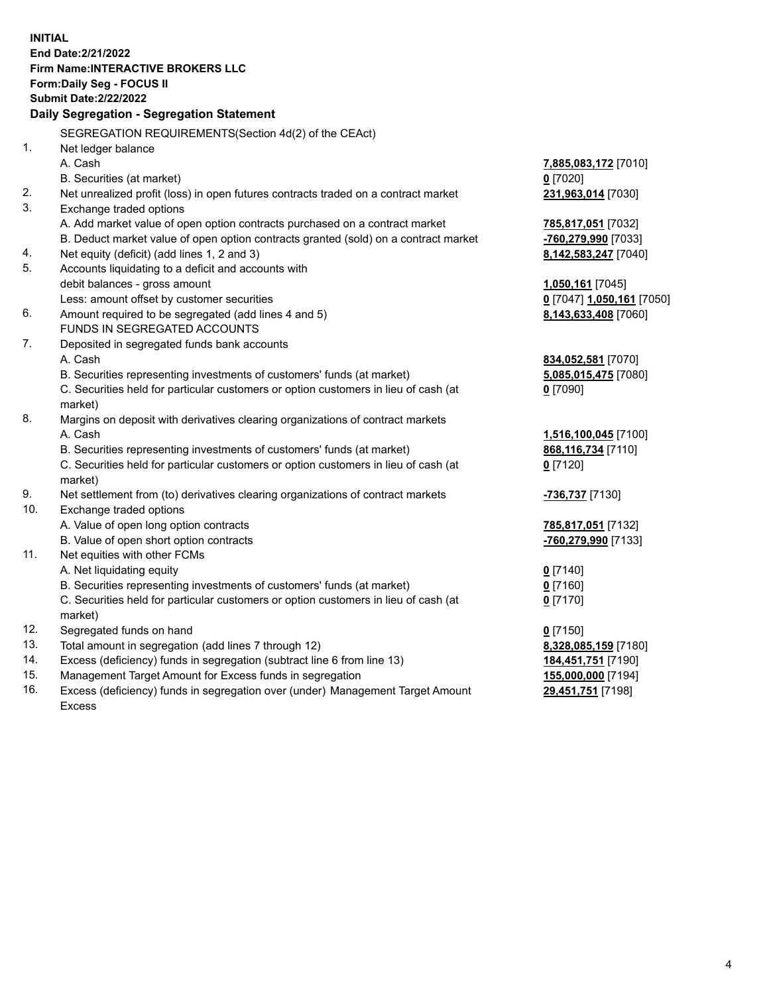**INITIAL End Date:2/21/2022 Firm Name:INTERACTIVE BROKERS LLC Form:Daily Seg - FOCUS II Submit Date:2/22/2022 Daily Segregation - Segregation Statement** SEGREGATION REQUIREMENTS(Section 4d(2) of the CEAct) 1. Net ledger balance A. Cash **7,885,083,172** [7010] B. Securities (at market) **0** [7020] 2. Net unrealized profit (loss) in open futures contracts traded on a contract market **231,963,014** [7030] 3. Exchange traded options A. Add market value of open option contracts purchased on a contract market **785,817,051** [7032] B. Deduct market value of open option contracts granted (sold) on a contract market **-760,279,990** [7033] 4. Net equity (deficit) (add lines 1, 2 and 3) **8,142,583,247** [7040] 5. Accounts liquidating to a deficit and accounts with debit balances - gross amount **1,050,161** [7045] Less: amount offset by customer securities **0** [7047] **1,050,161** [7050] 6. Amount required to be segregated (add lines 4 and 5) **8,143,633,408** [7060] FUNDS IN SEGREGATED ACCOUNTS 7. Deposited in segregated funds bank accounts A. Cash **834,052,581** [7070] B. Securities representing investments of customers' funds (at market) **5,085,015,475** [7080] C. Securities held for particular customers or option customers in lieu of cash (at market) **0** [7090] 8. Margins on deposit with derivatives clearing organizations of contract markets A. Cash **1,516,100,045** [7100] B. Securities representing investments of customers' funds (at market) **868,116,734** [7110] C. Securities held for particular customers or option customers in lieu of cash (at market) **0** [7120] 9. Net settlement from (to) derivatives clearing organizations of contract markets **-736,737** [7130] 10. Exchange traded options A. Value of open long option contracts **785,817,051** [7132] B. Value of open short option contracts **-760,279,990** [7133] 11. Net equities with other FCMs A. Net liquidating equity **0** [7140] B. Securities representing investments of customers' funds (at market) **0** [7160] C. Securities held for particular customers or option customers in lieu of cash (at market) **0** [7170] 12. Segregated funds on hand **0** [7150] 13. Total amount in segregation (add lines 7 through 12) **8,328,085,159** [7180] 14. Excess (deficiency) funds in segregation (subtract line 6 from line 13) **184,451,751** [7190] 15. Management Target Amount for Excess funds in segregation **155,000,000** [7194]

16. Excess (deficiency) funds in segregation over (under) Management Target Amount Excess

**29,451,751** [7198]